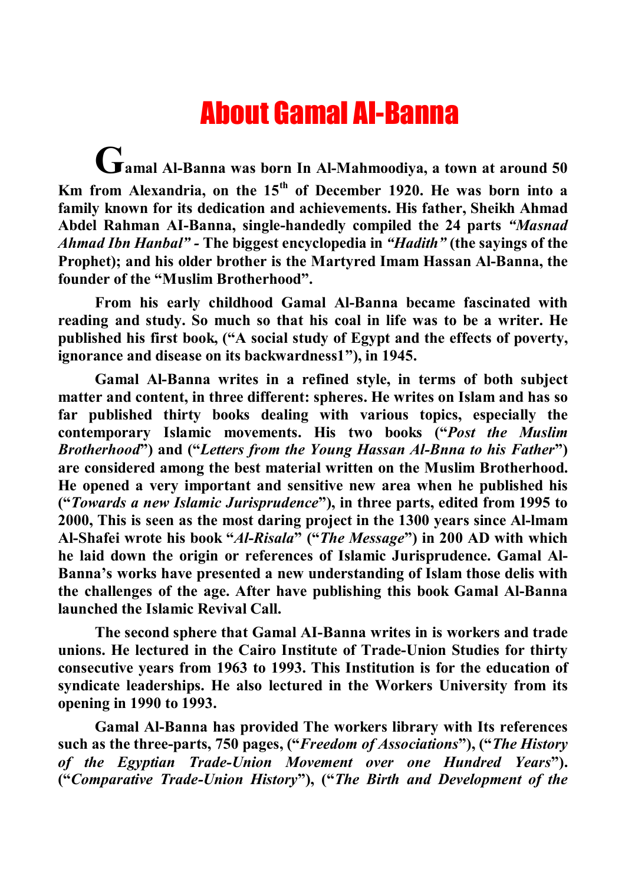## About Gamal AI-Banna

**Gamal Al-Banna was born In Al-Mahmoodiya, a town at around 50 Km from Alexandria, on the 15th of December 1920. He was born into a family known for its dedication and achievements. His father, Sheikh Ahmad Abdel Rahman AI-Banna, single-handedly compiled the 24 parts** *"Masnad Ahmad Ibn Hanbal" -* **The biggest encyclopedia in** *"Hadith"* **(the sayings of the Prophet); and his older brother is the Martyred Imam Hassan Al-Banna, the founder of the "Muslim Brotherhood".**

**From his early childhood Gamal Al-Banna became fascinated with reading and study. So much so that his coal in life was to be a writer. He published his first book, ("A social study of Egypt and the effects of poverty, ignorance and disease on its backwardness1"), in 1945.**

**Gamal Al-Banna writes in a refined style, in terms of both subject matter and content, in three different: spheres. He writes on Islam and has so far published thirty books dealing with various topics, especially the contemporary Islamic movements. His two books ("***Post the Muslim Brotherhood***") and ("***Letters from the Young Hassan Al-Bِnna to his Father***") are considered among the best material written on the Muslim Brotherhood. He opened a very important and sensitive new area when he published his ("***Towards a new Islamic Jurisprudence***"), in three parts, edited from 1995 to 2000, This is seen as the most daring project in the 1300 years since Al-lmam Al-Shafei wrote his book "***Al***-***Risala***" ("***The Message***") in 200 AD with which he laid down the origin or references of Islamic Jurisprudence. Gamal Al-Banna's works have presented a new understanding of Islam those delis with the challenges of the age. After have publishing this book Gamal Al-Banna launched the Islamic Revival Call.**

**The second sphere that Gamal AI-Banna writes in is workers and trade unions. He lectured in the Cairo Institute of Trade-Union Studies for thirty consecutive years from 1963 to 1993. This Institution is for the education of syndicate leaderships. He also lectured in the Workers University from its opening in 1990 to 1993.**

**Gamal Al-Banna has provided The workers library with Its references such as the three-parts, 750 pages, ("***Freedom of Associationِs***"), ("***The History of the Egyptian Trade-Union Movement over one Hundred Years***"). ("***Comparative Trade-Union History***"), ("***The Birth and Development of the*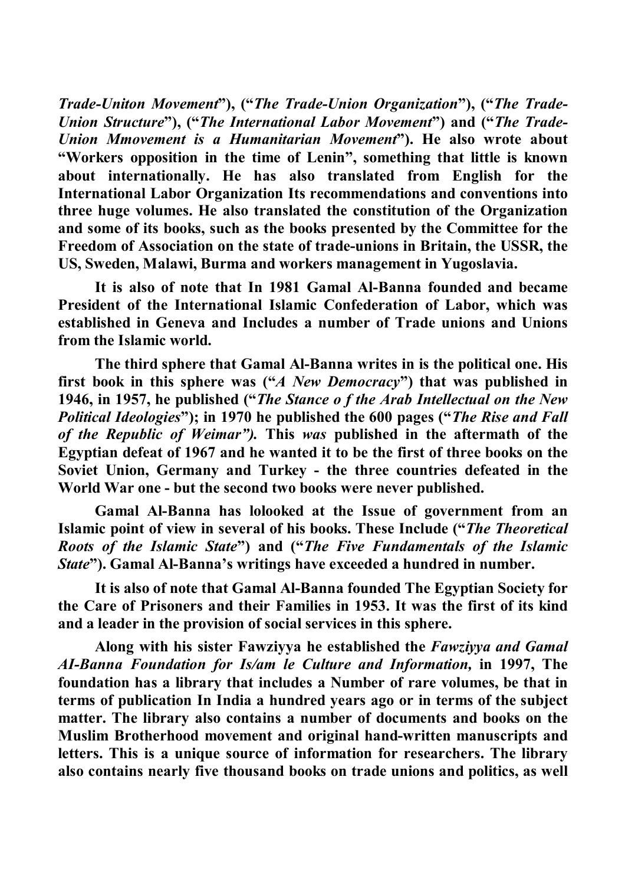*Trade-Unitِon Movement***"), ("***The Trade-Union Organization***"), ("***The Trade-Union Structure***"), ("***The International Labor Movement***") and ("***The Trade-Union Mِmovement is a Humanitarian Movement***"). He also wrote about "Workers opposition in the time of Lenin", something that little is known about internationally. He has also translated from English for the International Labor Organization Its recommendations and conventions into three huge volumes. He also translated the constitution of the Organization and some of its books, such as the books presented by the Committee for the Freedom of Association on the state of trade-unions in Britain, the USSR, the US, Sweden, Malawi, Burma and workers management in Yugoslavia.**

**It is also of note that In 1981 Gamal Al-Banna founded and became President of the International Islamic Confederation of Labor, which was established in Geneva and Includes a number of Trade unions and Unions from the Islamic world.**

**The third sphere that Gamal Al-Banna writes in is the political one. His first book in this sphere was ("***A New Democracy***") that was published in 1946, in 1957, he published ("***The Stance o f the Arab Intellectual on the New Political Ideologies***"); in 1970 he published the 600 pages ("***The Rise and Fall of the Republic of Weimar").* **This** *was* **published in the aftermath of the Egyptian defeat of 1967 and he wanted it to be the first of three books on the Soviet Union, Germany and Turkey - the three countries defeated in the World War one - but the second two books were never published.**

**Gamal Al-Banna has lo**ِ**looked at the Issue of government from an Islamic point of view in several of his books. These Include ("***The Theoretical Roots of the Islamic State***") and ("***The Five Fundamentals of the Islamic State***"). Gamal Al-Banna's writings have exceeded a hundred in number.**

**It is also of note that Gamal Al-Banna founded The Egyptian Society for the Care of Prisoners and their Families in 1953. It was the first of its kind and a leader in the provision of social services in this sphere.**

**Along with his sister Fawziyya he established the** *Fawziyya and Gamal AI-Banna Foundation for Is/am le Culture and Information,* **in 1997, The foundation has a library that includes a Number of rare volumes, be that in terms of publication In India a hundred years ago or in terms of the subject matter. The library also contains a number of documents and books on the Muslim Brotherhood movement and original hand-written manuscripts and letters. This is a unique source of information for researchers. The library also contains nearly five thousand books on trade unions and politics, as well**